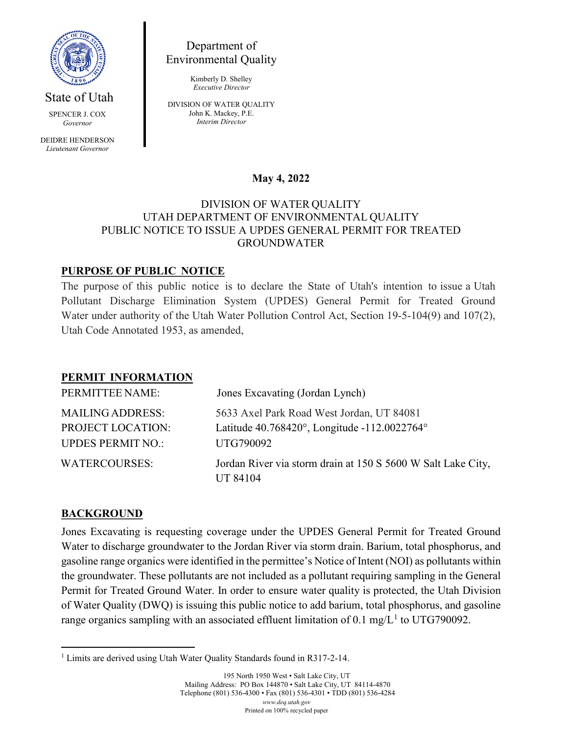

State of Utah

SPENCER J. COX *Governor*

DEIDRE HENDERSON *Lieutenant Governor*

Department of Environmental Quality

> Kimberly D. Shelley *Executive Director*

DIVISION OF WATER QUALITY John K. Mackey, P.E. *Interim Director*

# **May 4, 2022**

#### DIVISION OF WATER QUALITY UTAH DEPARTMENT OF ENVIRONMENTAL QUALITY PUBLIC NOTICE TO ISSUE A UPDES GENERAL PERMIT FOR TREATED GROUNDWATER

# **PURPOSE OF PUBLIC NOTICE**

The purpose of this public notice is to declare the State of Utah's intention to issue a Utah Pollutant Discharge Elimination System (UPDES) General Permit for Treated Ground Water under authority of the Utah Water Pollution Control Act, Section 19-5-104(9) and 107(2), Utah Code Annotated 1953, as amended,

### **PERMIT INFORMATION**

| PERMITTEE NAME:                                                          | Jones Excavating (Jordan Lynch)                                                                        |
|--------------------------------------------------------------------------|--------------------------------------------------------------------------------------------------------|
| <b>MAILING ADDRESS:</b><br>PROJECT LOCATION:<br><b>UPDES PERMIT NO.:</b> | 5633 Axel Park Road West Jordan, UT 84081<br>Latitude 40.768420°, Longitude -112.0022764°<br>UTG790092 |
| <b>WATERCOURSES:</b>                                                     | Jordan River via storm drain at 150 S 5600 W Salt Lake City,<br>UT 84104                               |

### **BACKGROUND**

Jones Excavating is requesting coverage under the UPDES General Permit for Treated Ground Water to discharge groundwater to the Jordan River via storm drain. Barium, total phosphorus, and gasoline range organics were identified in the permittee's Notice of Intent (NOI) as pollutants within the groundwater. These pollutants are not included as a pollutant requiring sampling in the General Permit for Treated Ground Water. In order to ensure water quality is protected, the Utah Division of Water Quality (DWQ) is issuing this public notice to add barium, total phosphorus, and gasoline range organics sampling with an associated effluent limitation of 0.[1](#page-0-0) mg/ $L<sup>1</sup>$  to UTG790092.

<span id="page-0-0"></span><sup>&</sup>lt;sup>1</sup> Limits are derived using Utah Water Quality Standards found in R317-2-14.